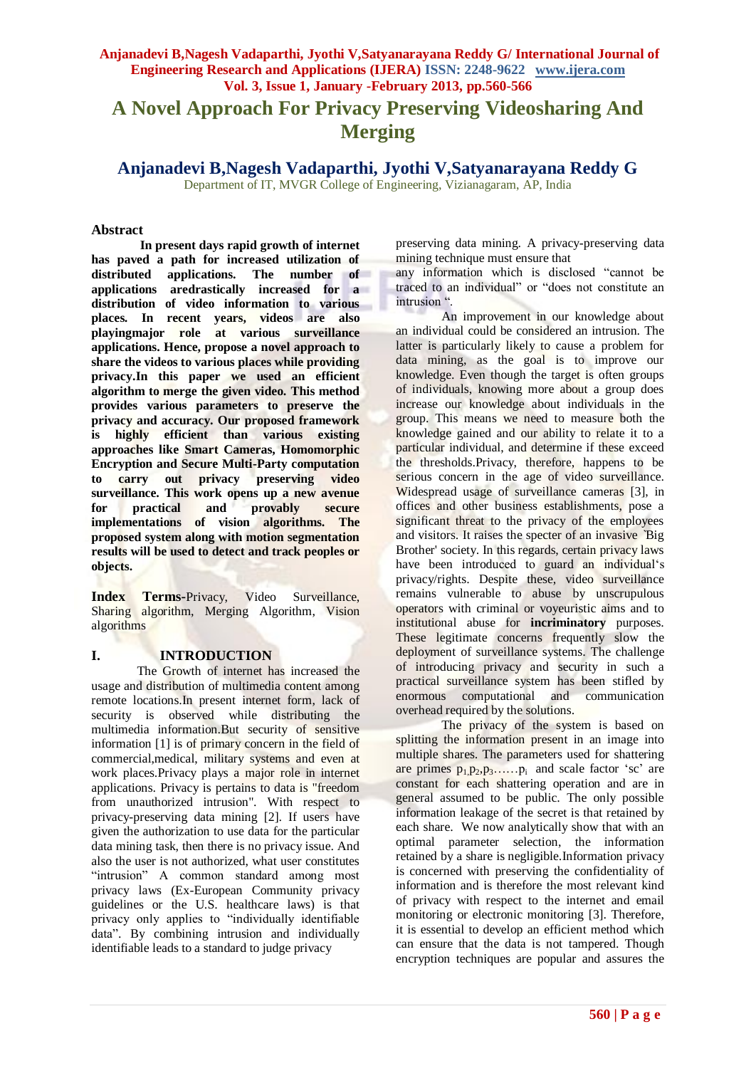# **A Novel Approach For Privacy Preserving Videosharing And Merging**

**Anjanadevi B,Nagesh Vadaparthi, Jyothi V,Satyanarayana Reddy G**

Department of IT, MVGR College of Engineering, Vizianagaram, AP, India

#### **Abstract**

**In present days rapid growth of internet has paved a path for increased utilization of distributed applications. The number of applications aredrastically increased for a distribution of video information to various places. In recent years, videos are also playingmajor role at various surveillance applications. Hence, propose a novel approach to share the videos to various places while providing privacy.In this paper we used an efficient algorithm to merge the given video. This method provides various parameters to preserve the privacy and accuracy. Our proposed framework is highly efficient than various existing approaches like Smart Cameras, Homomorphic Encryption and Secure Multi-Party computation**<br>to carry out privacy preserving video **to carry out privacy preserving video surveillance. This work opens up a new avenue for practical and provably secure implementations of vision algorithms. The proposed system along with motion segmentation results will be used to detect and track peoples or objects.** 

**Index Terms-**Privacy, Video Surveillance, Sharing algorithm, Merging Algorithm, Vision algorithms

## **I. INTRODUCTION**

The Growth of internet has increased the usage and distribution of multimedia content among remote locations.In present internet form, lack of security is observed while distributing the multimedia information.But security of sensitive information [1] is of primary concern in the field of commercial,medical, military systems and even at work places.Privacy plays a major role in internet applications. Privacy is pertains to data is "freedom from unauthorized intrusion". With respect to privacy-preserving data mining [2]. If users have given the authorization to use data for the particular data mining task, then there is no privacy issue. And also the user is not authorized, what user constitutes "intrusion" A common standard among most privacy laws (Ex-European Community privacy guidelines or the U.S. healthcare laws) is that privacy only applies to "individually identifiable data". By combining intrusion and individually identifiable leads to a standard to judge privacy

preserving data mining. A privacy-preserving data mining technique must ensure that

any information which is disclosed "cannot be traced to an individual" or "does not constitute an intrusion ".

An improvement in our knowledge about an individual could be considered an intrusion. The latter is particularly likely to cause a problem for data mining, as the goal is to improve our knowledge. Even though the target is often groups of individuals, knowing more about a group does increase our knowledge about individuals in the group. This means we need to measure both the knowledge gained and our ability to relate it to a particular individual, and determine if these exceed the thresholds.Privacy, therefore, happens to be serious concern in the age of video surveillance. Widespread usage of surveillance cameras [3], in offices and other business establishments, pose a significant threat to the privacy of the employees and visitors. It raises the specter of an invasive *`*Big Brother' society. In this regards, certain privacy laws have been introduced to guard an individual's privacy/rights. Despite these, video surveillance remains vulnerable to abuse by unscrupulous operators with criminal or voyeuristic aims and to institutional abuse for **incriminatory** purposes. These legitimate concerns frequently slow the deployment of surveillance systems. The challenge of introducing privacy and security in such a practical surveillance system has been stifled by enormous computational and communication overhead required by the solutions.

The privacy of the system is based on splitting the information present in an image into multiple shares. The parameters used for shattering are primes  $p_1, p_2, p_3, \ldots, p_i$  and scale factor 'sc' are constant for each shattering operation and are in general assumed to be public. The only possible information leakage of the secret is that retained by each share. We now analytically show that with an optimal parameter selection, the information retained by a share is negligible.Information privacy is concerned with preserving the confidentiality of information and is therefore the most relevant kind of privacy with respect to the internet and email monitoring or electronic monitoring [3]. Therefore, it is essential to develop an efficient method which can ensure that the data is not tampered. Though encryption techniques are popular and assures the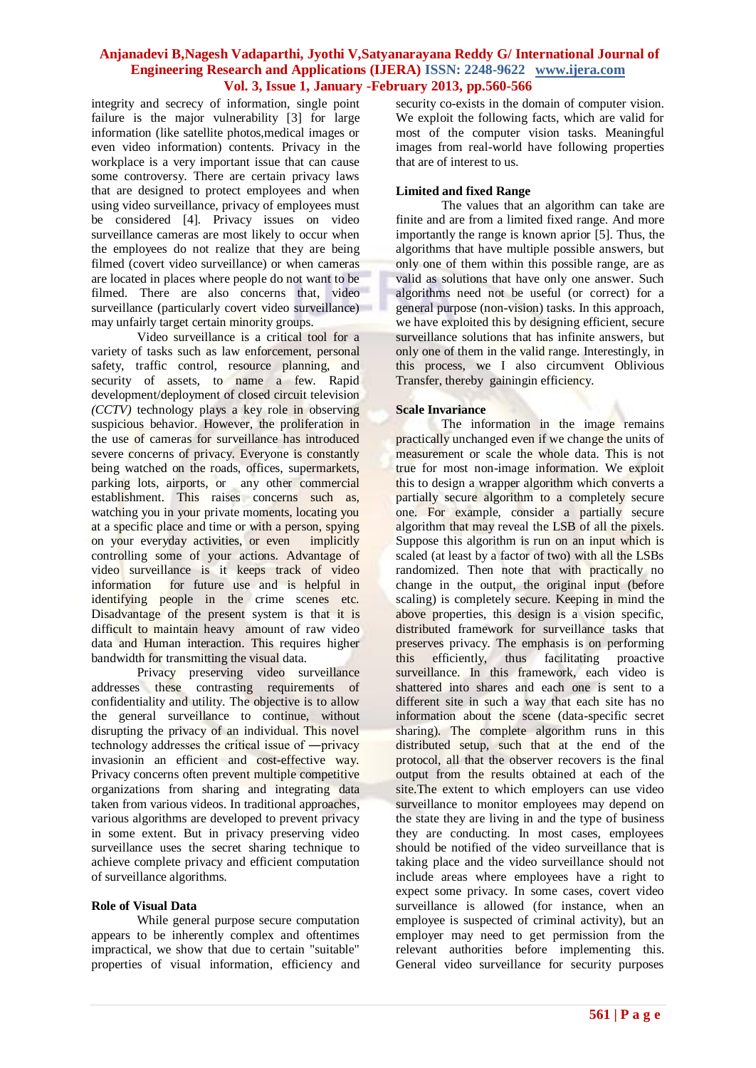integrity and secrecy of information, single point failure is the major vulnerability [3] for large information (like satellite photos,medical images or even video information) contents. Privacy in the workplace is a very important issue that can cause some controversy. There are certain privacy laws that are designed to protect employees and when using video surveillance, privacy of employees must be considered [4]. Privacy issues on video surveillance cameras are most likely to occur when the employees do not realize that they are being filmed (covert video surveillance) or when cameras are located in places where people do not want to be filmed. There are also concerns that, video surveillance (particularly covert video surveillance) may unfairly target certain minority groups.

Video surveillance is a critical tool for a variety of tasks such as law enforcement, personal safety, traffic control, resource planning, and security of assets, to name a few. Rapid development/deployment of closed circuit television *(CCTV)* technology plays a key role in observing suspicious behavior. However, the proliferation in the use of cameras for surveillance has introduced severe concerns of privacy. Everyone is constantly being watched on the roads, offices, supermarkets, parking lots, airports, or any other commercial establishment. This raises concerns such as, watching you in your private moments, locating you at a specific place and time or with a person, spying on your everyday activities, or even implicitly controlling some of your actions. Advantage of video surveillance is it keeps track of video information for future use and is helpful in identifying people in the crime scenes etc. Disadvantage of the present system is that it is difficult to maintain heavy amount of raw video data and Human interaction. This requires higher bandwidth for transmitting the visual data.

Privacy preserving video surveillance addresses these contrasting requirements of confidentiality and utility. The objective is to allow the general surveillance to continue, without disrupting the privacy of an individual. This novel technology addresses the critical issue of ―privacy invasionin an efficient and cost-effective way. Privacy concerns often prevent multiple competitive organizations from sharing and integrating data taken from various videos. In traditional approaches, various algorithms are developed to prevent privacy in some extent. But in privacy preserving video surveillance uses the secret sharing technique to achieve complete privacy and efficient computation of surveillance algorithms.

#### **Role of Visual Data**

While general purpose secure computation appears to be inherently complex and oftentimes impractical, we show that due to certain "suitable" properties of visual information, efficiency and security co-exists in the domain of computer vision. We exploit the following facts, which are valid for most of the computer vision tasks. Meaningful images from real-world have following properties that are of interest to us.

#### **Limited and fixed Range**

The values that an algorithm can take are finite and are from a limited fixed range. And more importantly the range is known aprior [5]. Thus, the algorithms that have multiple possible answers, but only one of them within this possible range, are as valid as solutions that have only one answer. Such algorithms need not be useful (or correct) for a general purpose (non-vision) tasks. In this approach, we have exploited this by designing efficient, secure surveillance solutions that has infinite answers, but only one of them in the valid range. Interestingly, in this process, we I also circumvent Oblivious Transfer, thereby gainingin efficiency.

#### **Scale Invariance**

The information in the image remains practically unchanged even if we change the units of measurement or scale the whole data. This is not true for most non-image information. We exploit this to design a wrapper algorithm which converts a partially secure algorithm to a completely secure one. For example, consider a partially secure algorithm that may reveal the LSB of all the pixels. Suppose this algorithm is run on an input which is scaled (at least by a factor of two) with all the LSBs randomized. Then note that with practically no change in the output, the original input (before scaling) is completely secure. Keeping in mind the above properties, this design is a vision specific, distributed framework for surveillance tasks that preserves privacy. The emphasis is on performing this efficiently, thus facilitating proactive surveillance. In this framework, each video is shattered into shares and each one is sent to a different site in such a way that each site has no information about the scene (data-specific secret sharing). The complete algorithm runs in this distributed setup, such that at the end of the protocol, all that the observer recovers is the final output from the results obtained at each of the site.The extent to which employers can use video surveillance to monitor employees may depend on the state they are living in and the type of business they are conducting. In most cases, employees should be notified of the video surveillance that is taking place and the video surveillance should not include areas where employees have a right to expect some privacy. In some cases, covert video surveillance is allowed (for instance, when an employee is suspected of criminal activity), but an employer may need to get permission from the relevant authorities before implementing this. General video surveillance for security purposes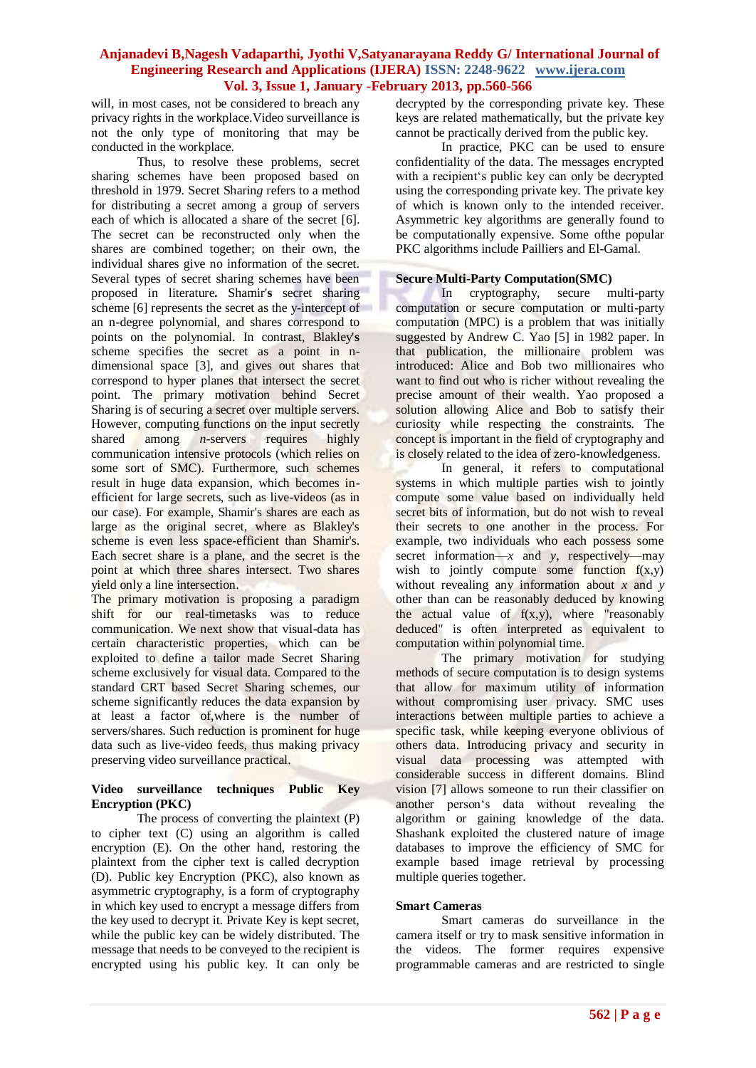will, in most cases, not be considered to breach any privacy rights in the workplace.Video surveillance is not the only type of monitoring that may be conducted in the workplace.

Thus, to resolve these problems, secret sharing schemes have been proposed based on threshold in 1979. Secret Sharin*g* refers to a method for distributing a secret among a group of servers each of which is allocated a share of the secret [6]. The secret can be reconstructed only when the shares are combined together; on their own, the individual shares give no information of the secret. Several types of secret sharing schemes have been proposed in literature**.** Shamir'**s** secret sharing scheme [6] represents the secret as the y-intercept of an n-degree polynomial, and shares correspond to points on the polynomial. In contrast, Blakley'**s**  scheme specifies the secret as a point in ndimensional space [3], and gives out shares that correspond to hyper planes that intersect the secret point. The primary motivation behind Secret Sharing is of securing a secret over multiple servers. However, computing functions on the input secretly shared among *n*-servers requires highly communication intensive protocols (which relies on some sort of SMC). Furthermore, such schemes result in huge data expansion, which becomes inefficient for large secrets, such as live-videos (as in our case). For example, Shamir's shares are each as large as the original secret, where as Blakley's scheme is even less space-efficient than Shamir's. Each secret share is a plane, and the secret is the point at which three shares intersect. Two shares yield only a line intersection.

The primary motivation is proposing a paradigm shift for our real-timetasks was to reduce communication. We next show that visual-data has certain characteristic properties, which can be exploited to define a tailor made Secret Sharing scheme exclusively for visual data. Compared to the standard CRT based Secret Sharing schemes, our scheme significantly reduces the data expansion by at least a factor of,where is the number of servers/shares. Such reduction is prominent for huge data such as live-video feeds, thus making privacy preserving video surveillance practical.

## **Video surveillance techniques Public Key Encryption (PKC)**

The process of converting the plaintext (P) to cipher text (C) using an algorithm is called encryption (E). On the other hand, restoring the plaintext from the cipher text is called decryption (D). Public key Encryption (PKC), also known as asymmetric cryptography, is a form of cryptography in which key used to encrypt a message differs from the key used to decrypt it. Private Key is kept secret, while the public key can be widely distributed. The message that needs to be conveyed to the recipient is encrypted using his public key. It can only be

decrypted by the corresponding private key. These keys are related mathematically, but the private key cannot be practically derived from the public key.

In practice, PKC can be used to ensure confidentiality of the data. The messages encrypted with a recipient's public key can only be decrypted using the corresponding private key. The private key of which is known only to the intended receiver. Asymmetric key algorithms are generally found to be computationally expensive. Some ofthe popular PKC algorithms include Pailliers and El-Gamal.

## **Secure Multi-Party Computation(SMC)**

In cryptography, secure multi-party computation or secure computation or multi-party computation (MPC) is a problem that was initially suggested by Andrew C. Yao [5] in 1982 paper. In that publication, the millionaire problem was introduced: Alice and Bob two millionaires who want to find out who is richer without revealing the precise amount of their wealth. Yao proposed a solution allowing Alice and Bob to satisfy their curiosity while respecting the constraints. The concept is important in the field of cryptography and is closely related to the idea of zero-knowledgeness.

In general, it refers to computational systems in which multiple parties wish to jointly compute some value based on individually held secret bits of information, but do not wish to reveal their secrets to one another in the process. For example, two individuals who each possess some secret information— $x$  and  $y$ , respectively—may wish to jointly compute some function  $f(x,y)$ without revealing any information about *x* and *y*  other than can be reasonably deduced by knowing the actual value of  $f(x,y)$ , where "reasonably deduced" is often interpreted as equivalent to computation within polynomial time.

The primary motivation for studying methods of secure computation is to design systems that allow for maximum utility of information without compromising user privacy. SMC uses interactions between multiple parties to achieve a specific task, while keeping everyone oblivious of others data. Introducing privacy and security in visual data processing was attempted with considerable success in different domains. Blind vision [7] allows someone to run their classifier on another person's data without revealing the algorithm or gaining knowledge of the data. Shashank exploited the clustered nature of image databases to improve the efficiency of SMC for example based image retrieval by processing multiple queries together.

## **Smart Cameras**

Smart cameras do surveillance in the camera itself or try to mask sensitive information in the videos. The former requires expensive programmable cameras and are restricted to single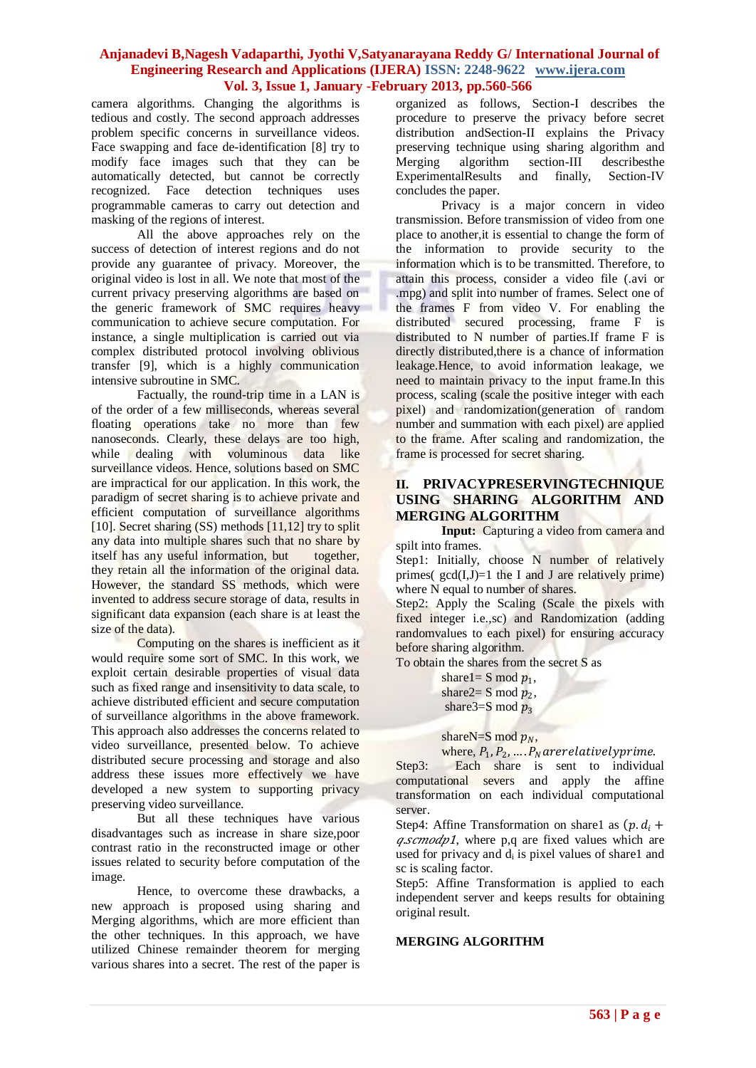camera algorithms. Changing the algorithms is tedious and costly. The second approach addresses problem specific concerns in surveillance videos. Face swapping and face de-identification [8] try to modify face images such that they can be automatically detected, but cannot be correctly recognized. Face detection techniques uses programmable cameras to carry out detection and masking of the regions of interest.

All the above approaches rely on the success of detection of interest regions and do not provide any guarantee of privacy. Moreover, the original video is lost in all. We note that most of the current privacy preserving algorithms are based on the generic framework of SMC requires heavy communication to achieve secure computation. For instance, a single multiplication is carried out via complex distributed protocol involving oblivious transfer [9], which is a highly communication intensive subroutine in SMC.

Factually, the round-trip time in a LAN is of the order of a few milliseconds, whereas several floating operations take no more than few nanoseconds. Clearly, these delays are too high, while dealing with voluminous data like surveillance videos. Hence, solutions based on SMC are impractical for our application. In this work, the paradigm of secret sharing is to achieve private and efficient computation of surveillance algorithms [10]. Secret sharing  $(SS)$  methods  $[11,12]$  try to split any data into multiple shares such that no share by itself has any useful information, but together, they retain all the information of the original data. However, the standard SS methods, which were invented to address secure storage of data, results in significant data expansion (each share is at least the size of the data).

Computing on the shares is inefficient as it would require some sort of SMC. In this work, we exploit certain desirable properties of visual data such as fixed range and insensitivity to data scale, to achieve distributed efficient and secure computation of surveillance algorithms in the above framework. This approach also addresses the concerns related to video surveillance, presented below. To achieve distributed secure processing and storage and also address these issues more effectively we have developed a new system to supporting privacy preserving video surveillance.

But all these techniques have various disadvantages such as increase in share size,poor contrast ratio in the reconstructed image or other issues related to security before computation of the image.

Hence, to overcome these drawbacks, a new approach is proposed using sharing and Merging algorithms, which are more efficient than the other techniques. In this approach, we have utilized Chinese remainder theorem for merging various shares into a secret. The rest of the paper is organized as follows, Section-I describes the procedure to preserve the privacy before secret distribution andSection-II explains the Privacy preserving technique using sharing algorithm and<br>Merging algorithm section-III describes<br>the  $M$ erging algorithm section-III ExperimentalResults and finally, Section-IV concludes the paper.

Privacy is a major concern in video transmission. Before transmission of video from one place to another,it is essential to change the form of the information to provide security to the information which is to be transmitted. Therefore, to attain this process, consider a video file (.avi or .mpg) and split into number of frames. Select one of the frames F from video V. For enabling the distributed secured processing, frame F is distributed to N number of parties.If frame F is directly distributed, there is a chance of information leakage.Hence, to avoid information leakage, we need to maintain privacy to the input frame.In this process, scaling (scale the positive integer with each pixel) and randomization(generation of random number and summation with each pixel) are applied to the frame. After scaling and randomization, the frame is processed for secret sharing.

## **II. PRIVACYPRESERVINGTECHNIQUE USING SHARING ALGORITHM AND MERGING ALGORITHM**

**Input:** Capturing a video from camera and spilt into frames.

Step1: Initially, choose N number of relatively primes( $gcd(I, J)=1$  the I and J are relatively prime) where N equal to number of shares.

Step2: Apply the Scaling (Scale the pixels with fixed integer i.e.,sc) and Randomization (adding randomvalues to each pixel) for ensuring accuracy before sharing algorithm.

To obtain the shares from the secret S as

share  $l = S \mod p_1$ , share  $2 = S \mod p_2$ , share  $3=$ S mod  $p_3$ 

shareN=S mod  $p_N$ ,

where,  $P_1$ ,  $P_2$ , ....  $P_N$  are relatively prime. Step3: Each share is sent to individual computational severs and apply the affine transformation on each individual computational server.

Step4: Affine Transformation on share1 as  $(p, d_i +$  $q.scmodp1$ , where p,q are fixed values which are used for privacy and d<sub>i</sub> is pixel values of share1 and sc is scaling factor.

Step5: Affine Transformation is applied to each independent server and keeps results for obtaining original result.

#### **MERGING ALGORITHM**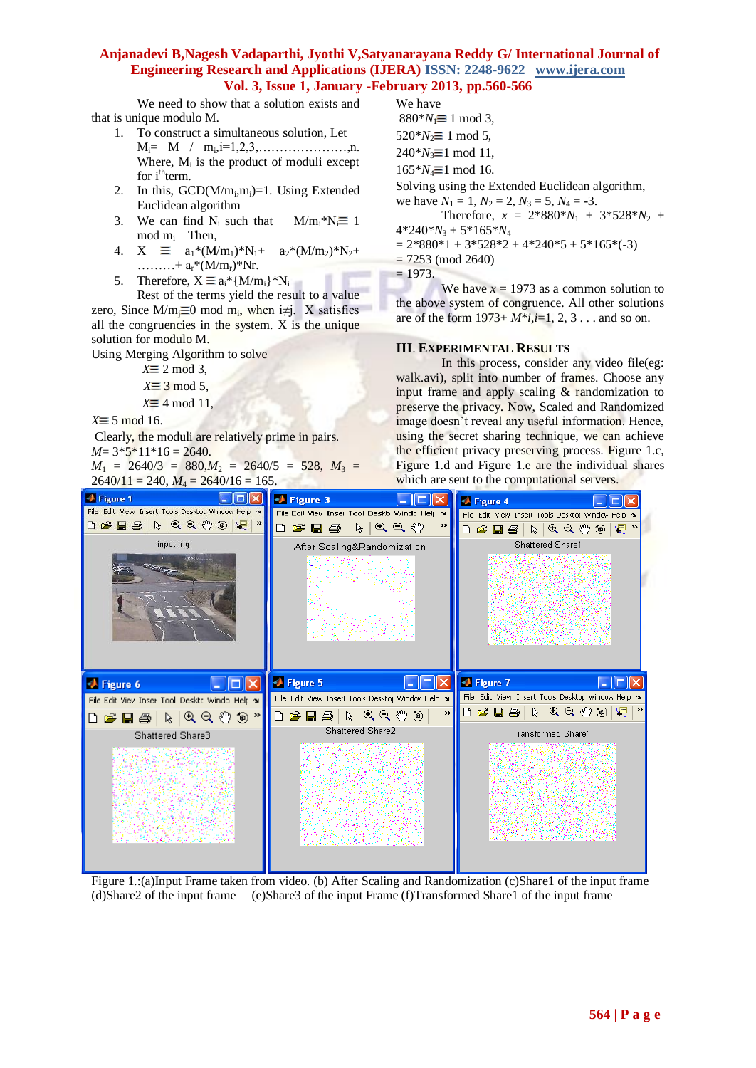We need to show that a solution exists and that is unique modulo M.

- 1. To construct a simultaneous solution, Let Mi= M / m<sup>i</sup> ,i=1,2,3,…………………,n. Where,  $M_i$  is the product of moduli except for i<sup>th</sup>term.
- 2. In this,  $GCD(M/m_i, m_i)=1$ . Using Extended Euclidean algorithm
- 3. We can find  $N_i$  such that  $M/m_i^*N_i \equiv 1$ mod m<sup>i</sup> Then,
- 4.  $X \equiv a_1^*(M/m_1)^*N_1 + a_2^*(M/m_2)^*N_2 +$ ..........+ $a_r^*(M/m_r)^*Nr$ .
- 5. Therefore,  $X \equiv a_i^* \{M/m_i\}^*N_i$

Rest of the terms yield the result to a value zero, Since M/m<sub>j</sub> $\equiv$ 0 mod m<sub>i</sub>, when i≠j. X satisfies all the congruencies in the system. X is the unique solution for modulo M.

Using Merging Algorithm to solve

- $X \equiv 2 \mod 3$ .
- $X \equiv 3 \mod 5$ ,
- $X \equiv 4 \mod 11$ ,

 $X \equiv 5 \mod 16$ .

Clearly, the moduli are relatively prime in pairs.  $M=3*5*11*16=2640.$ 

 $M_1$  = 2640/3 = 880, $M_2$  = 2640/5 = 528,  $M_3$  =  $2640/11 = 240$ ,  $M_4 = 2640/16 = 165$ .

We have  $880^*N_1 \equiv 1 \mod 3$ ,  $520^*N_2 \equiv 1 \mod 5$ ,  $240^*N_3 \equiv 1 \mod 11$ ,  $165*N_4 \equiv 1 \mod 16$ . Solving using the Extended Euclidean algorithm, we have  $N_1 = 1$ ,  $N_2 = 2$ ,  $N_3 = 5$ ,  $N_4 = -3$ . Therefore,  $x = 2*880*N_1 + 3*528*N_2 +$  $4*240*N_3 + 5*165*N_4$  $= 2*880*1 + 3*528*2 + 4*240*5 + 5*165*(-3)$  $= 7253 \pmod{2640}$  $= 1973.$ 

We have  $x = 1973$  as a common solution to the above system of congruence. All other solutions are of the form 1973+ *M*\**i*,*i*=1, 2, 3 . . . and so on.

#### **III**. **EXPERIMENTAL RESULTS**

In this process, consider any video file(eg: walk.avi), split into number of frames. Choose any input frame and apply scaling & randomization to preserve the privacy. Now, Scaled and Randomized image doesn't reveal any useful information. Hence, using the secret sharing technique, we can achieve the efficient privacy preserving process. Figure 1.c, Figure 1.d and Figure 1.e are the individual shares which are sent to the computational servers.



Figure 1.:(a)Input Frame taken from video. (b) After Scaling and Randomization (c)Share1 of the input frame (d)Share2 of the input frame (e)Share3 of the input Frame (f)Transformed Share1 of the input frame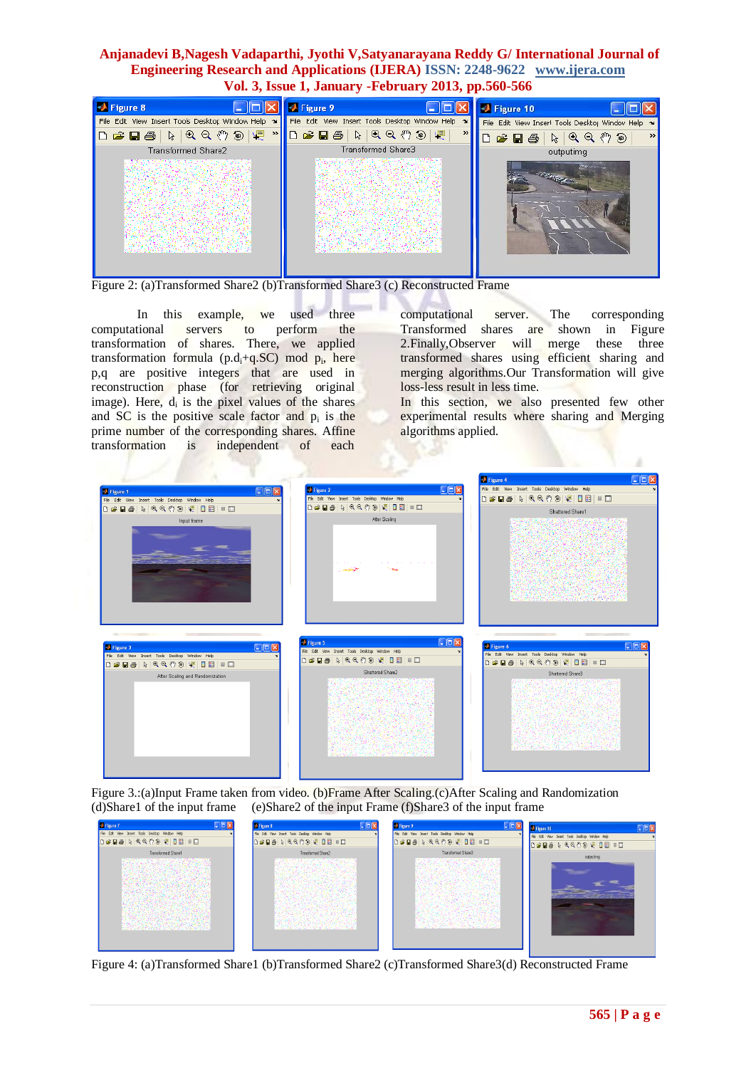| Figure 8                                          | <b>Eigure 9</b>                                   | Figure 10                                                                                                    |
|---------------------------------------------------|---------------------------------------------------|--------------------------------------------------------------------------------------------------------------|
| File Edit View Insert Tools Desktop Window Help > | File Edit View Insert Tools Desktop Window Help ~ | File Edit View Insert Tools Desktor Windov Help >                                                            |
| $ D \times B \oplus  $                            | 嗯<br>$\rightarrow$                                | $\rightarrow$<br>$\mathcal{A} \in \mathcal{A}^n \oplus \mathcal{A}$<br>$G$ defined<br>$\Box$<br>$\mathbb{Z}$ |
| Transformed Share2                                | Transformed Share3                                | outputimg                                                                                                    |
|                                                   |                                                   | <b>CONTRACTOR</b>                                                                                            |

Figure 2: (a)Transformed Share2 (b)Transformed Share3 (c) Reconstructed Frame

In this example, we used three computational servers to perform the transformation of shares. There, we applied transformation formula  $(p.d_i+q.SC)$  mod  $p_i$ , here p,q are positive integers that are used in reconstruction phase (for retrieving original image). Here, d<sub>i</sub> is the pixel values of the shares and  $SC$  is the positive scale factor and  $p_i$  is the prime number of the corresponding shares. Affine transformation is independent of each

computational server. The corresponding<br>Transformed shares are shown in Figure Transformed shares are 2.Finally,Observer will merge these three transformed shares using efficient sharing and merging algorithms.Our Transformation will give loss-less result in less time.

In this section, we also presented few other experimental results where sharing and Merging algorithms applied.

ä

|                                                                                                                                   |                                                                                                                                 | <b>J</b> Figure 4                                                                |
|-----------------------------------------------------------------------------------------------------------------------------------|---------------------------------------------------------------------------------------------------------------------------------|----------------------------------------------------------------------------------|
| $\Box$ D $\times$                                                                                                                 | $\Box$ o $x$<br><b>D</b> Figure 2                                                                                               | File Edit View Insert Tools Desktop Window Help                                  |
| Figure 1<br>File Edit View Insert Tools Desktop Window Help                                                                       | File Edit View Insert Tools Desktop Window Help                                                                                 |                                                                                  |
| <b>D # B &amp; A Q Q Y D Q Q B B B B</b>                                                                                          | <b>DGBS &amp; QQYDY DE ID</b>                                                                                                   |                                                                                  |
|                                                                                                                                   |                                                                                                                                 | Shattered Share1                                                                 |
| Input frame                                                                                                                       | After Scaling<br><b>Constitution</b>                                                                                            |                                                                                  |
| $\square$ $\square$<br><sup>4</sup> Figure 3<br>File Edit View Insert Tools Desktop Window Help<br><b>DSBS \RQ ♡ 9 Q UB I I D</b> | $\Box$ D $\times$<br><b>EX</b> Figure 5<br>File Edit View Insert Tools Desktop Window Help<br>D 2 B &   & Q Q O &   Q B   B   B | $\Box$ o $\times$<br>Figure 6<br>File Edit View Insert Tools Desktop Window Help |
|                                                                                                                                   | Shattered Share2                                                                                                                | Shattered Share3                                                                 |
| After Scaling and Randomization                                                                                                   |                                                                                                                                 |                                                                                  |

Figure 3.:(a)Input Frame taken from video. (b)Frame After Scaling.(c)After Scaling and Randomization (d)Share1 of the input frame (e)Share2 of the input Frame (f)Share3 of the input frame

| + Figure 7                                                                    | <b>D</b> Figure 8                               | <b>J</b> Figure 9                              | <b>Figure 10</b><br><u>- DIX</u>                |
|-------------------------------------------------------------------------------|-------------------------------------------------|------------------------------------------------|-------------------------------------------------|
| File Edit View Insert Tools Desktop Window Help<br><b>DEDS A GOOD FOR DEL</b> | File Edit View Insert Tools Desktop Window Help | Fle Edit View Insert Tools Desktop Window Help | File Edit View Insert Tools Desktop Window Help |
|                                                                               | <b>DGB&amp; A &amp; &amp; O @ QB BB</b>         | <b>DERS ARRAIO E DE</b>                        | DSB& A GGOOV DE BO                              |
| Transformed Share1                                                            | Transformed Share2<br>11 Martin                 | Transformed Share3<br>en 22 anima              | outputimg                                       |

Figure 4: (a)Transformed Share1 (b)Transformed Share2 (c)Transformed Share3(d) Reconstructed Frame